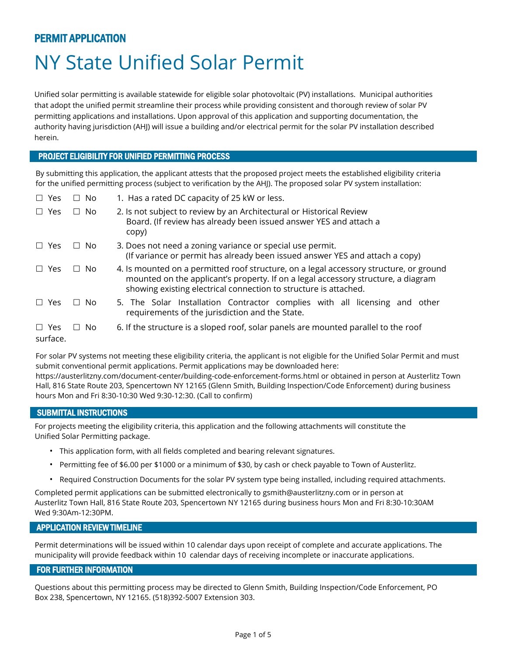# NY State Unified Solar Permit

Unified solar permitting is available statewide for eligible solar photovoltaic (PV) installations. Municipal authorities that adopt the unified permit streamline their process while providing consistent and thorough review of solar PV permitting applications and installations. Upon approval of this application and supporting documentation, the authority having jurisdiction (AHJ) will issue a building and/or electrical permit for the solar PV installation described herein.

#### PROJECT ELIGIBILITY FOR UNIFIED PERMITTING PROCESS

By submitting this application, the applicant attests that the proposed project meets the established eligibility criteria for the unified permitting process (subject to verification by the AHJ). The proposed solar PV system installation:

| $\square$ Yes          | □ No           | 1. Has a rated DC capacity of 25 kW or less.                                                                                                                                                                                                    |
|------------------------|----------------|-------------------------------------------------------------------------------------------------------------------------------------------------------------------------------------------------------------------------------------------------|
| $\Box$ Yes             | $\Box$ No      | 2. Is not subject to review by an Architectural or Historical Review<br>Board. (If review has already been issued answer YES and attach a<br>copy)                                                                                              |
| $\Box$ Yes             | ∣ No<br>$\Box$ | 3. Does not need a zoning variance or special use permit.<br>(If variance or permit has already been issued answer YES and attach a copy)                                                                                                       |
| $\Box$ Yes             | □ No           | 4. Is mounted on a permitted roof structure, on a legal accessory structure, or ground<br>mounted on the applicant's property. If on a legal accessory structure, a diagram<br>showing existing electrical connection to structure is attached. |
| $\Box$ Yes             | □ No           | 5. The Solar Installation Contractor complies with all licensing and other<br>requirements of the jurisdiction and the State.                                                                                                                   |
| $\Box$ Yes<br>surface. | . No<br>$\Box$ | 6. If the structure is a sloped roof, solar panels are mounted parallel to the roof                                                                                                                                                             |

For solar PV systems not meeting these eligibility criteria, the applicant is not eligible for the Unified Solar Permit and must submit conventional permit applications. Permit applications may be downloaded here: https://austerlitzny.com/document-center/building-code-enforcement-forms.html or obtained in person at Austerlitz Town Hall, 816 State Route 203, Spencertown NY 12165 (Glenn Smith, Building Inspection/Code Enforcement) during business hours Mon and Fri 8:30-10:30 Wed 9:30-12:30. (Call to confirm)

#### SUBMITTAL INSTRUCTIONS

For projects meeting the eligibility criteria, this application and the following attachments will constitute the Unified Solar Permitting package.

- This application form, with all fields completed and bearing relevant signatures.
- Permitting fee of \$6.00 per \$1000 or a minimum of \$30, by cash or check payable to Town of Austerlitz.
- Required Construction Documents for the solar PV system type being installed, including required attachments.

Completed permit applications can be submitted electronically to gsmith@austerlitzny.com or in person at Austerlitz Town Hall, 816 State Route 203, Spencertown NY 12165 during business hours Mon and Fri 8:30-10:30AM Wed 9:30Am-12:30PM.

#### APPLICATION REVIEW TIMELINE

Permit determinations will be issued within 10 calendar days upon receipt of complete and accurate applications. The municipality will provide feedback within 10 calendar days of receiving incomplete or inaccurate applications.

#### FOR FURTHER INFORMATION

Questions about this permitting process may be directed to Glenn Smith, Building Inspection/Code Enforcement, PO Box 238, Spencertown, NY 12165. (518)392-5007 Extension 303.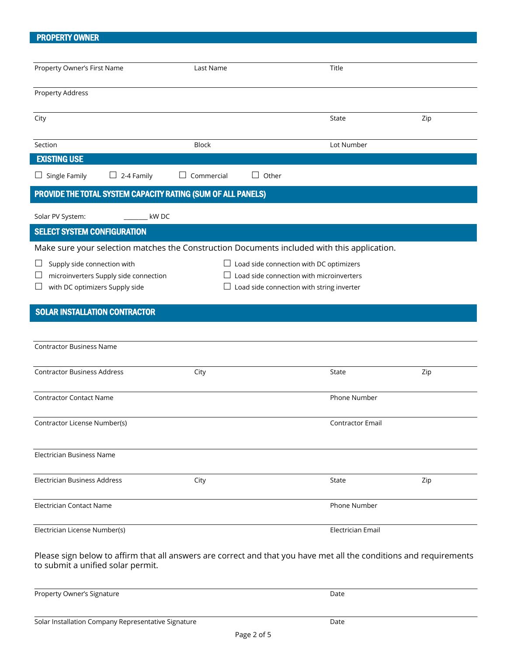### PROPERTY OWNER

| Property Owner's First Name                                                                          | Last Name    | Title                                                                                       |     |
|------------------------------------------------------------------------------------------------------|--------------|---------------------------------------------------------------------------------------------|-----|
| Property Address                                                                                     |              |                                                                                             |     |
| City                                                                                                 |              | State                                                                                       | Zip |
| Section                                                                                              | <b>Block</b> | Lot Number                                                                                  |     |
| <b>EXISTING USE</b>                                                                                  |              |                                                                                             |     |
| $\Box$ Single Family<br>$\Box$ 2-4 Family                                                            | Commercial   | Other<br>$\perp$                                                                            |     |
| PROVIDE THE TOTAL SYSTEM CAPACITY RATING (SUM OF ALL PANELS)                                         |              |                                                                                             |     |
| Solar PV System:                                                                                     | kW DC        |                                                                                             |     |
| <b>SELECT SYSTEM CONFIGURATION</b>                                                                   |              |                                                                                             |     |
|                                                                                                      |              | Make sure your selection matches the Construction Documents included with this application. |     |
| Supply side connection with<br>microinverters Supply side connection                                 |              | $\Box$ Load side connection with DC optimizers<br>Load side connection with microinverters  |     |
| with DC optimizers Supply side                                                                       |              | Load side connection with string inverter                                                   |     |
| <b>SOLAR INSTALLATION CONTRACTOR</b>                                                                 |              |                                                                                             |     |
|                                                                                                      |              |                                                                                             |     |
| <b>Contractor Business Name</b>                                                                      |              |                                                                                             |     |
|                                                                                                      | City         | State                                                                                       | Zip |
|                                                                                                      |              | Phone Number                                                                                |     |
| <b>Contractor Business Address</b><br><b>Contractor Contact Name</b><br>Contractor License Number(s) |              | <b>Contractor Email</b>                                                                     |     |
| <b>Electrician Business Name</b>                                                                     |              |                                                                                             |     |
| <b>Electrician Business Address</b>                                                                  | City         | State                                                                                       | Zip |
| <b>Electrician Contact Name</b>                                                                      |              | Phone Number                                                                                |     |

Page 2 of 5

| Property Owner's Signature | Date |
|----------------------------|------|
|----------------------------|------|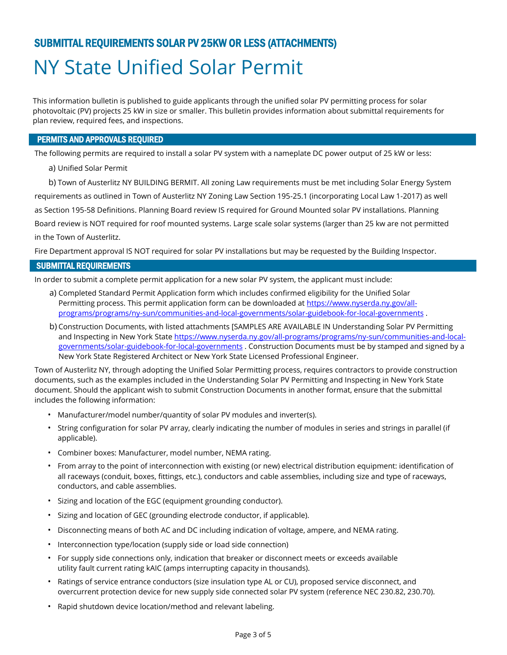## SUBMITTAL REQUIREMENTS SOLAR PV 25KW OR LESS (ATTACHMENTS) NY State Unified Solar Permit

This information bulletin is published to guide applicants through the unified solar PV permitting process for solar photovoltaic (PV) projects 25 kW in size or smaller. This bulletin provides information about submittal requirements for plan review, required fees, and inspections.

#### PERMITS AND APPROVALS REQUIRED

The following permits are required to install a solar PV system with a nameplate DC power output of 25 kW or less:

a) Unified Solar Permit

b) Town of Austerlitz NY BUILDING BERMIT. All zoning Law requirements must be met including Solar Energy System requirements as outlined in Town of Austerlitz NY Zoning Law Section 195-25.1 (incorporating Local Law 1-2017) as well as Section 195-58 Definitions. Planning Board review IS required for Ground Mounted solar PV installations. Planning Board review is NOT required for roof mounted systems. Large scale solar systems (larger than 25 kw are not permitted in the Town of Austerlitz.

Fire Department approval IS NOT required for solar PV installations but may be requested by the Building Inspector.

#### SUBMITTAL REQUIREMENTS

In order to submit a complete permit application for a new solar PV system, the applicant must include:

- a) Completed Standard Permit Application form which includes confirmed eligibility for the Unified Solar Permitting process. This permit application form can be downloaded a[t https://www.nyserda.ny.gov/all](https://www.nyserda.ny.gov/all-programs/programs/ny-sun/communities-and-local-governments/solar-guidebook-for-local-governments)[programs/programs/ny-sun/communities-and-local-governments/solar-guidebook-for-local-governments](https://www.nyserda.ny.gov/all-programs/programs/ny-sun/communities-and-local-governments/solar-guidebook-for-local-governments) .
- b) Construction Documents, with listed attachments [SAMPLES ARE AVAILABLE IN Understanding Solar PV Permitting and Inspecting in New York Stat[e https://www.nyserda.ny.gov/all-programs/programs/ny-sun/communities-and-local](https://www.nyserda.ny.gov/all-programs/programs/ny-sun/communities-and-local-governments/solar-guidebook-for-local-governments)[governments/solar-guidebook-for-local-governments](https://www.nyserda.ny.gov/all-programs/programs/ny-sun/communities-and-local-governments/solar-guidebook-for-local-governments) . Construction Documents must be by stamped and signed by a New York State Registered Architect or New York State Licensed Professional Engineer.

Town of Austerlitz NY, through adopting the Unified Solar Permitting process, requires contractors to provide construction documents, such as the examples included in the Understanding Solar PV Permitting and Inspecting in New York State document. Should the applicant wish to submit Construction Documents in another format, ensure that the submittal includes the following information:

- Manufacturer/model number/quantity of solar PV modules and inverter(s).
- String configuration for solar PV array, clearly indicating the number of modules in series and strings in parallel (if applicable).
- Combiner boxes: Manufacturer, model number, NEMA rating.
- From array to the point of interconnection with existing (or new) electrical distribution equipment: identification of all raceways (conduit, boxes, fittings, etc.), conductors and cable assemblies, including size and type of raceways, conductors, and cable assemblies.
- Sizing and location of the EGC (equipment grounding conductor).
- Sizing and location of GEC (grounding electrode conductor, if applicable).
- Disconnecting means of both AC and DC including indication of voltage, ampere, and NEMA rating.
- Interconnection type/location (supply side or load side connection)
- For supply side connections only, indication that breaker or disconnect meets or exceeds available utility fault current rating kAIC (amps interrupting capacity in thousands).
- Ratings of service entrance conductors (size insulation type AL or CU), proposed service disconnect, and overcurrent protection device for new supply side connected solar PV system (reference NEC 230.82, 230.70).
- Rapid shutdown device location/method and relevant labeling.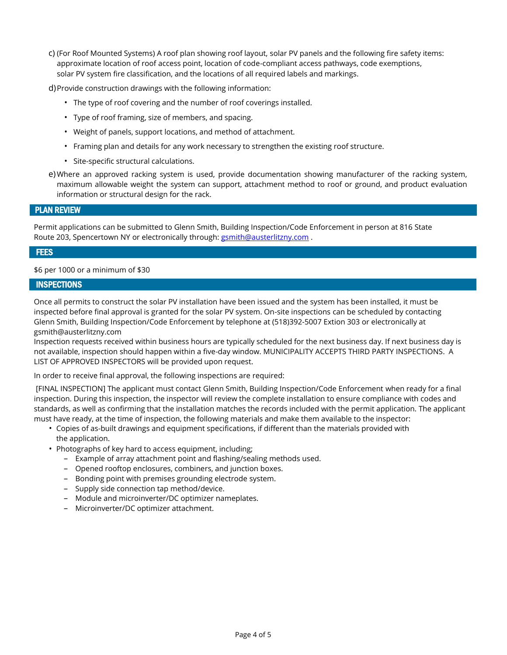c) (For Roof Mounted Systems) A roof plan showing roof layout, solar PV panels and the following fire safety items: approximate location of roof access point, location of code-compliant access pathways, code exemptions, solar PV system fire classification, and the locations of all required labels and markings.

d)Provide construction drawings with the following information:

- The type of roof covering and the number of roof coverings installed.
- Type of roof framing, size of members, and spacing.
- Weight of panels, support locations, and method of attachment.
- Framing plan and details for any work necessary to strengthen the existing roof structure.
- Site-specific structural calculations.
- e) Where an approved racking system is used, provide documentation showing manufacturer of the racking system, maximum allowable weight the system can support, attachment method to roof or ground, and product evaluation information or structural design for the rack.

#### PLAN REVIEW

Permit applications can be submitted to Glenn Smith, Building Inspection/Code Enforcement in person at 816 State Route 203, Spencertown NY or electronically through: [gsmith@austerlitzny.com](mailto:gsmith@austerlitzny.com) .

#### **FEES**

#### \$6 per 1000 or a minimum of \$30

#### **INSPECTIONS**

Once all permits to construct the solar PV installation have been issued and the system has been installed, it must be inspected before final approval is granted for the solar PV system. On-site inspections can be scheduled by contacting Glenn Smith, Building Inspection/Code Enforcement by telephone at (518)392-5007 Extion 303 or electronically at gsmith@austerlitzny.com

Inspection requests received within business hours are typically scheduled for the next business day. If next business day is not available, inspection should happen within a five-day window. MUNICIPALITY ACCEPTS THIRD PARTY INSPECTIONS. A LIST OF APPROVED INSPECTORS will be provided upon request.

In order to receive final approval, the following inspections are required:

[FINAL INSPECTION] The applicant must contact Glenn Smith, Building Inspection/Code Enforcement when ready for a final inspection. During this inspection, the inspector will review the complete installation to ensure compliance with codes and standards, as well as confirming that the installation matches the records included with the permit application. The applicant must have ready, at the time of inspection, the following materials and make them available to the inspector:

- Copies of as-built drawings and equipment specifications, if different than the materials provided with the application.
- Photographs of key hard to access equipment, including;
	- Example of array attachment point and flashing/sealing methods used.
	- Opened rooftop enclosures, combiners, and junction boxes.
	- Bonding point with premises grounding electrode system.
	- Supply side connection tap method/device.
	- Module and microinverter/DC optimizer nameplates.
	- Microinverter/DC optimizer attachment.